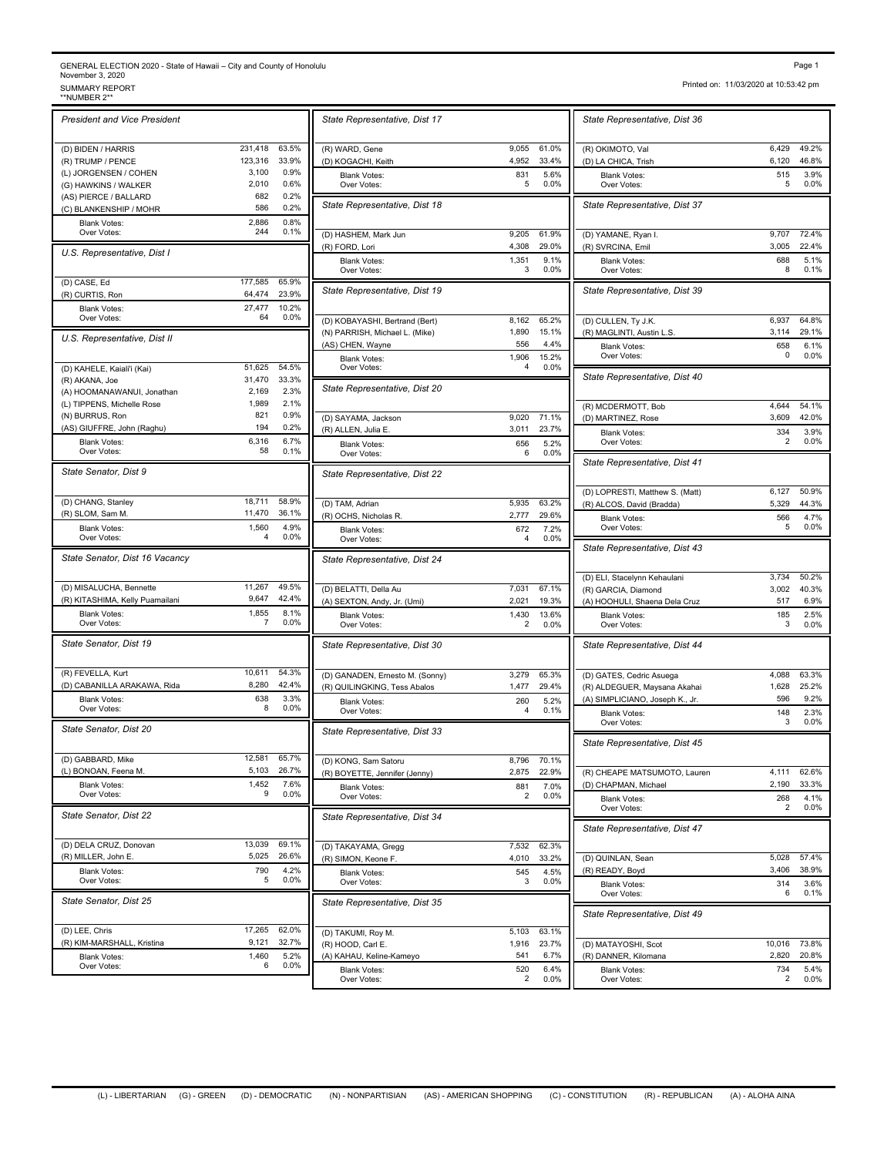## GENERAL ELECTION 2020 - State of Hawaii – City and County of Honolulu<br>November 3, 2020<br>\*NUMBER 2\*\* SUMMARY REPORT<br>\*\*NUMBER 2\*\*

| <b>IVUMBER 4</b>                                 |             |              |                                    |
|--------------------------------------------------|-------------|--------------|------------------------------------|
| <b>President and Vice President</b>              |             |              | State Representative, Dist 1       |
| (D) BIDEN / HARRIS                               | 231,418     | 63.5%        | (R) WARD, Gene                     |
| (R) TRUMP / PENCE                                | 123,316     | 33.9%        | (D) KOGACHI, Keith                 |
| (L) JORGENSEN / COHEN                            | 3,100       | 0.9%         | <b>Blank Votes:</b>                |
| (G) HAWKINS / WALKER                             | 2,010       | 0.6%         | Over Votes:                        |
| (AS) PIERCE / BALLARD                            | 682         | 0.2%         |                                    |
| (C) BLANKENSHIP / MOHR                           | 586         | 0.2%         | State Representative, Dist         |
| <b>Blank Votes:</b>                              | 2,886       | 0.8%         |                                    |
| Over Votes:                                      | 244         | 0.1%         | (D) HASHEM, Mark Jun               |
| U.S. Representative, Dist I                      |             |              | (R) FORD, Lori                     |
|                                                  |             |              | <b>Blank Votes:</b><br>Over Votes: |
| (D) CASE, Ed                                     | 177,585     | 65.9%        |                                    |
| (R) CURTIS, Ron                                  | 64,474      | 23.9%        | State Representative, Dist 1       |
| <b>Blank Votes:</b>                              | 27,477      | 10.2%        |                                    |
| Over Votes:                                      | 64          | 0.0%         | (D) KOBAYASHI, Bertrand (Bert      |
|                                                  |             |              | (N) PARRISH, Michael L. (Mike)     |
| U.S. Representative, Dist II                     |             |              | (AS) CHEN, Wayne                   |
|                                                  |             |              | <b>Blank Votes:</b>                |
| (D) KAHELE, Kaiali'i (Kai)                       | 51,625      | 54.5%        | Over Votes:                        |
| (R) AKANA, Joe                                   | 31,470      | 33.3%        |                                    |
| (A) HOOMANAWANUI, Jonathan                       | 2,169       | 2.3%         | State Representative, Dist 2       |
| (L) TIPPENS, Michelle Rose                       | 1,989       | 2.1%         |                                    |
| (N) BURRUS, Ron                                  | 821         | 0.9%         |                                    |
| (AS) GIUFFRE, John (Raghu)                       | 194         | 0.2%         | (D) SAYAMA, Jackson                |
|                                                  |             |              | (R) ALLEN, Julia E.                |
| <b>Blank Votes:</b><br>Over Votes:               | 6,316<br>58 | 6.7%<br>0.1% | <b>Blank Votes:</b><br>Over Votes: |
| State Senator, Dist 9                            |             |              | State Representative, Dist 2       |
| (D) CHANG, Stanley                               | 18.711      | 58.9%        | (D) TAM, Adrian                    |
| (R) SLOM, Sam M.                                 | 11,470      | 36.1%        | (R) OCHS, Nicholas R.              |
| <b>Blank Votes:</b><br>Over Votes:               | 1,560<br>4  | 4.9%<br>0.0% | <b>Blank Votes:</b><br>Over Votes: |
| State Senator, Dist 16 Vacancy                   |             |              | State Representative, Dist 2       |
|                                                  |             |              |                                    |
| (D) MISALUCHA, Bennette                          | 11,267      | 49.5%        | (D) BELATTI, Della Au              |
| (R) KITASHIMA, Kelly Puamailani                  | 9,647       | 42.4%        | (A) SEXTON, Andy, Jr. (Umi)        |
| <b>Blank Votes:</b><br>Over Votes:               | 1,855<br>7  | 8.1%<br>0.0% | <b>Blank Votes:</b><br>Over Votes: |
| State Senator, Dist 19                           |             |              | State Representative, Dist 3       |
|                                                  | 10,611      | 54.3%        |                                    |
| (R) FEVELLA, Kurt<br>(D) CABANILLA ARAKAWA, Rida | 8,280       | 42.4%        | (D) GANADEN, Ernesto M. (Sor       |
| <b>Blank Votes:</b>                              | 638         | 3.3%         | (R) QUILINGKING, Tess Abalos       |
| Over Votes:                                      | 8           | 0.0%         | <b>Blank Votes:</b><br>Over Votes: |
| State Senator, Dist 20                           |             |              | State Representative, Dist 3       |
| (D) GABBARD, Mike                                | 12,581      | 65.7%        | (D) KONG, Sam Satoru               |
| (L) BONOAN, Feena M.                             | 5,103       | 26.7%        | (R) BOYETTE, Jennifer (Jenny)      |
|                                                  | 1,452       | 7.6%         |                                    |
| <b>Blank Votes:</b><br>Over Votes:               | 9           | 0.0%         | <b>Blank Votes:</b><br>Over Votes: |
| State Senator, Dist 22                           |             |              | State Representative, Dist 3       |
| (D) DELA CRUZ, Donovan                           | 13,039      | 69.1%        |                                    |
| (R) MILLER, John E.                              | 5,025       | 26.6%        | (D) TAKAYAMA, Gregg                |
|                                                  |             | 4.2%         | (R) SIMON, Keone F.                |
| <b>Blank Votes:</b><br>Over Votes:               | 790<br>5    | 0.0%         | <b>Blank Votes:</b><br>Over Votes: |
| State Senator, Dist 25                           |             |              | State Representative, Dist 3       |
| (D) LEE, Chris                                   | 17,265      | 62.0%        | (D) TAKUMI, Roy M.                 |
| (R) KIM-MARSHALL, Kristina                       | 9,121       | 32.7%        | (R) HOOD, Carl E.                  |
|                                                  | 1,460       | 5.2%         | (A) KAHAU, Keline-Kameyo           |
| <b>Blank Votes:</b><br>Over Votes:               | 6           | 0.0%         |                                    |

|                        | State Representative, Dist 17                                    |                   |                       | State Representative, Dist 3                                                        |
|------------------------|------------------------------------------------------------------|-------------------|-----------------------|-------------------------------------------------------------------------------------|
| 63.5%<br>33.9%         | (R) WARD, Gene                                                   | 9.055<br>4,952    | 61.0%<br>33.4%        | (R) OKIMOTO, Val                                                                    |
| 0.9%<br>0.6%           | (D) KOGACHI, Keith<br><b>Blank Votes:</b><br>Over Votes:         | 831<br>5          | 5.6%<br>0.0%          | (D) LA CHICA, Trish<br><b>Blank Votes:</b><br>Over Votes:                           |
| 0.2%<br>0.2%           | State Representative, Dist 18                                    |                   |                       | State Representative, Dist 3                                                        |
| 0.8%<br>0.1%           | (D) HASHEM, Mark Jun<br>(R) FORD, Lori                           | 9,205<br>4,308    | 61.9%<br>29.0%        | (D) YAMANE, Ryan I.<br>(R) SVRCINA, Emil                                            |
|                        | <b>Blank Votes:</b><br>Over Votes:                               | 1,351<br>3        | 9.1%<br>0.0%          | Blank Votes:<br>Over Votes:                                                         |
| 65.9%<br>23.9%         | State Representative, Dist 19                                    |                   |                       | State Representative, Dist 3                                                        |
| 10.2%<br>0.0%          | (D) KOBAYASHI, Bertrand (Bert)<br>(N) PARRISH, Michael L. (Mike) | 8,162<br>1,890    | 65.2%<br>15.1%        | (D) CULLEN, Ty J.K.<br>(R) MAGLINTI, Austin L.S.                                    |
| 54.5%                  | (AS) CHEN, Wayne<br><b>Blank Votes:</b><br>Over Votes:           | 556<br>1,906<br>4 | 4.4%<br>15.2%<br>0.0% | <b>Blank Votes:</b><br>Over Votes:                                                  |
| 33.3%<br>2.3%          | State Representative, Dist 20                                    |                   |                       | State Representative, Dist 4                                                        |
| 2.1%<br>0.9%<br>0.2%   | (D) SAYAMA, Jackson                                              | 9.020             | 71.1%                 | (R) MCDERMOTT, Bob<br>(D) MARTINEZ, Rose                                            |
| 6.7%<br>0.1%           | (R) ALLEN, Julia E.<br><b>Blank Votes:</b><br>Over Votes:        | 3,011<br>656<br>6 | 23.7%<br>5.2%<br>0.0% | <b>Blank Votes:</b><br>Over Votes:                                                  |
|                        | State Representative, Dist 22                                    |                   |                       | State Representative, Dist 4                                                        |
| 58.9%<br>36.1%         | (D) TAM, Adrian<br>(R) OCHS, Nicholas R.                         | 5.935<br>2,777    | 63.2%<br>29.6%        | (D) LOPRESTI, Matthew S. (Ma<br>(R) ALCOS, David (Bradda)                           |
| 4.9%<br>0.0%           | <b>Blank Votes:</b><br>Over Votes:                               | 672<br>4          | 7.2%<br>0.0%          | <b>Blank Votes:</b><br>Over Votes:                                                  |
|                        | State Representative, Dist 24                                    |                   |                       | State Representative, Dist 4                                                        |
| 49.5%<br>42.4%         | (D) BELATTI, Della Au<br>(A) SEXTON, Andy, Jr. (Umi)             | 7,031<br>2,021    | 67.1%<br>19.3%        | (D) ELI, Stacelynn Kehaulani<br>(R) GARCIA, Diamond<br>(A) HOOHULI, Shaena Dela Cru |
| 8.1%<br>0.0%           | <b>Blank Votes:</b><br>Over Votes:                               | 1,430<br>2        | 13.6%<br>0.0%         | <b>Blank Votes:</b><br>Over Votes:                                                  |
|                        | State Representative, Dist 30                                    |                   |                       | State Representative, Dist 4                                                        |
| 54.3%<br>42.4%         | (D) GANADEN, Ernesto M. (Sonny)<br>(R) QUILINGKING, Tess Abalos  | 3,279<br>1,477    | 65.3%<br>29.4%        | (D) GATES, Cedric Asuega<br>(R) ALDEGUER, Maysana Akah                              |
| 3.3%<br>0.0%           | <b>Blank Votes:</b><br>Over Votes:                               | 260<br>4          | 5.2%<br>0.1%          | (A) SIMPLICIANO, Joseph K., J<br><b>Blank Votes:</b><br>Over Votes:                 |
|                        | State Representative, Dist 33                                    |                   |                       | State Representative, Dist 4                                                        |
| 65.7%<br>26.7%         | (D) KONG, Sam Satoru<br>(R) BOYETTE, Jennifer (Jenny)            | 8,796<br>2,875    | 70.1%<br>22.9%        | (R) CHEAPE MATSUMOTO, La                                                            |
| 7.6%<br>0.0%           | <b>Blank Votes:</b><br>Over Votes:                               | 881<br>2          | 7.0%<br>0.0%          | (D) CHAPMAN, Michael<br><b>Blank Votes:</b><br>Over Votes:                          |
|                        | State Representative, Dist 34                                    |                   |                       | State Representative, Dist 4                                                        |
| 69.1%<br>26.6%<br>4.2% | (D) TAKAYAMA, Gregg<br>(R) SIMON, Keone F.                       | 7,532<br>4,010    | 62.3%<br>33.2%        | (D) QUINLAN, Sean                                                                   |
| 0.0%                   | <b>Blank Votes:</b><br>Over Votes:                               | 545<br>3          | 4.5%<br>0.0%          | (R) READY, Boyd<br><b>Blank Votes:</b><br>Over Votes:                               |
|                        | State Representative, Dist 35                                    |                   |                       | State Representative, Dist 4                                                        |
| 62.0%<br>32.7%         | (D) TAKUMI, Roy M.<br>(R) HOOD, Carl E.                          | 5,103<br>1,916    | 63.1%<br>23.7%        | (D) MATAYOSHI, Scot                                                                 |
| 5.2%<br>0.0%           | (A) KAHAU, Keline-Kameyo<br><b>Blank Votes:</b><br>Over Votes:   | 541<br>520<br>2   | 6.7%<br>6.4%<br>0.0%  | (R) DANNER, Kilomana<br><b>Blank Votes:</b><br>Over Votes:                          |
|                        |                                                                  |                   |                       |                                                                                     |

Printed on: 11/03/2020 at 10:53:42 pm

| State Representative, Dist 36                             |                |                |
|-----------------------------------------------------------|----------------|----------------|
| (R) OKIMOTO, Val                                          | 6,429<br>6,120 | 49.2%<br>46.8% |
| (D) LA CHICA, Trish<br><b>Blank Votes:</b><br>Over Votes: | 515<br>5       | 3.9%<br>0.0%   |
| State Representative, Dist 37                             |                |                |
| (D) YAMANE, Ryan I.                                       | 9,707<br>3,005 | 72.4%<br>22.4% |
| (R) SVRCINA, Emil<br><b>Blank Votes:</b><br>Over Votes:   | 688<br>8       | 5.1%<br>0.1%   |
| State Representative, Dist 39                             |                |                |
| (D) CULLEN, Ty J.K.                                       | 6,937          | 64.8%          |
| (R) MAGLINTI, Austin L.S.                                 | 3,114          | 29.1%          |
| <b>Blank Votes:</b>                                       | 658            | 6.1%           |
| Over Votes:                                               | 0              | $0.0\%$        |
| State Representative, Dist 40                             |                |                |
| (R) MCDERMOTT, Bob                                        | 4,644          | 54.1%          |
| (D) MARTINEZ, Rose                                        | 3,609          | 42.0%          |
| Blank Votes:                                              | 334            | 3.9%           |
| Over Votes:                                               | 2              | 0.0%           |
| State Representative, Dist 41                             |                |                |
| (D) LOPRESTI, Matthew S. (Matt)                           | 6,127          | 50.9%          |
| (R) ALCOS, David (Bradda)                                 | 5,329          | 44.3%          |
| <b>Blank Votes:</b>                                       | 566            | 4.7%           |
| Over Votes:                                               | 5              | $0.0\%$        |
| State Representative, Dist 43                             |                |                |
| (D) ELI, Stacelynn Kehaulani                              | 3,734          | 50.2%          |
| (R) GARCIA, Diamond                                       | 3,002          | 40.3%          |
| (A) HOOHULI, Shaena Dela Cruz                             | 517            | 6.9%           |
| <b>Blank Votes:</b>                                       | 185            | 2.5%           |
| Over Votes:                                               | 3              | 0.0%           |
| State Representative, Dist 44                             |                |                |
| (D) GATES, Cedric Asuega                                  | 4,088          | 63.3%          |
| (R) ALDEGUER, Maysana Akahai                              | 1,628          | 25.2%          |
| (A) SIMPLICIANO, Joseph K., Jr.                           | 596            | 9.2%           |
| <b>Blank Votes:</b>                                       | 148            | 2.3%           |
| Over Votes:                                               | 3              | 0.0%           |
| State Representative, Dist 45                             |                |                |
| (R) CHEAPE MATSUMOTO, Lauren                              | 4,111          | 62.6%          |
| (D) CHAPMAN, Michael                                      | 2,190          | 33.3%          |
| <b>Blank Votes:</b>                                       | 268            | 4.1%           |
| Over Votes:                                               | 2              | 0.0%           |
| State Representative, Dist 47                             |                |                |
| (D) QUINLAN, Sean                                         | 5,028          | 57.4%          |
| (R) READY, Boyd                                           | 3,406          | 38.9%          |
| <b>Blank Votes:</b>                                       | 314            | 3.6%           |
| Over Votes:                                               | 6              | 0.1%           |
| State Representative, Dist 49                             |                |                |
| (D) MATAYOSHI, Scot                                       | 10,016         | 73.8%          |
| (R) DANNER, Kilomana                                      | 2,820          | 20.8%          |
| <b>Blank Votes:</b>                                       | 734            | 5.4%           |
| Over Votes:                                               | 2              | 0.0%           |